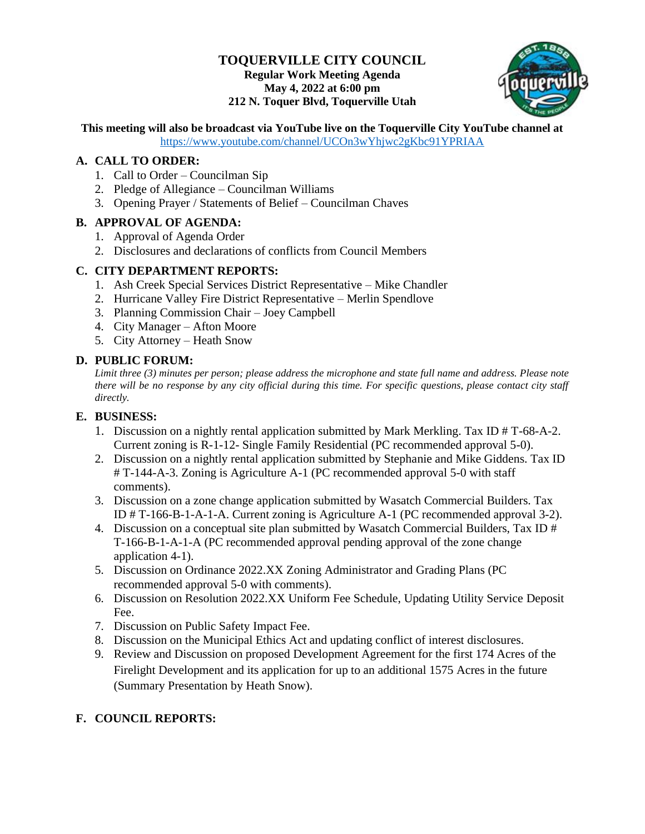# **TOQUERVILLE CITY COUNCIL Regular Work Meeting Agenda May 4, 2022 at 6:00 pm 212 N. Toquer Blvd, Toquerville Utah**



# **This meeting will also be broadcast via YouTube live on the Toquerville City YouTube channel at**

<https://www.youtube.com/channel/UCOn3wYhjwc2gKbc91YPRIAA>

## **A. CALL TO ORDER:**

- 1. Call to Order Councilman Sip
- 2. Pledge of Allegiance Councilman Williams
- 3. Opening Prayer / Statements of Belief Councilman Chaves

### **B. APPROVAL OF AGENDA:**

- 1. Approval of Agenda Order
- 2. Disclosures and declarations of conflicts from Council Members

## **C. CITY DEPARTMENT REPORTS:**

- 1. Ash Creek Special Services District Representative Mike Chandler
- 2. Hurricane Valley Fire District Representative Merlin Spendlove
- 3. Planning Commission Chair Joey Campbell
- 4. City Manager Afton Moore
- 5. City Attorney Heath Snow

# **D. PUBLIC FORUM:**

*Limit three (3) minutes per person; please address the microphone and state full name and address. Please note there will be no response by any city official during this time. For specific questions, please contact city staff directly.*

# **E. BUSINESS:**

- 1. Discussion on a nightly rental application submitted by Mark Merkling. Tax ID # T-68-A-2. Current zoning is R-1-12- Single Family Residential (PC recommended approval 5-0).
- 2. Discussion on a nightly rental application submitted by Stephanie and Mike Giddens. Tax ID # T-144-A-3. Zoning is Agriculture A-1 (PC recommended approval 5-0 with staff comments).
- 3. Discussion on a zone change application submitted by Wasatch Commercial Builders. Tax ID # T-166-B-1-A-1-A. Current zoning is Agriculture A-1 (PC recommended approval 3-2).
- 4. Discussion on a conceptual site plan submitted by Wasatch Commercial Builders, Tax ID # T-166-B-1-A-1-A (PC recommended approval pending approval of the zone change application 4-1).
- 5. Discussion on Ordinance 2022.XX Zoning Administrator and Grading Plans (PC recommended approval 5-0 with comments).
- 6. Discussion on Resolution 2022.XX Uniform Fee Schedule, Updating Utility Service Deposit Fee.
- 7. Discussion on Public Safety Impact Fee.
- 8. Discussion on the Municipal Ethics Act and updating conflict of interest disclosures.
- 9. Review and Discussion on proposed Development Agreement for the first 174 Acres of the Firelight Development and its application for up to an additional 1575 Acres in the future (Summary Presentation by Heath Snow).

# **F. COUNCIL REPORTS:**